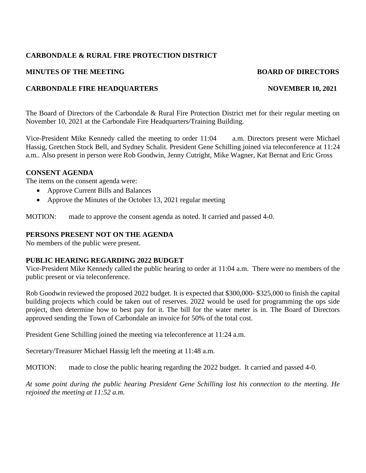## **CARBONDALE & RURAL FIRE PROTECTION DISTRICT**

### **MINUTES OF THE MEETING BOARD OF DIRECTORS**

### **CARBONDALE FIRE HEADQUARTERS NOVEMBER 10, 2021**

The Board of Directors of the Carbondale & Rural Fire Protection District met for their regular meeting on November 10, 2021 at the Carbondale Fire Headquarters/Training Building.

Vice-President Mike Kennedy called the meeting to order 11:04 a.m. Directors present were Michael Hassig, Gretchen Stock Bell, and Sydney Schalit. President Gene Schilling joined via teleconference at 11:24 a.m*..* Also present in person were Rob Goodwin, Jenny Cutright, Mike Wagner, Kat Bernat and Eric Gross

#### **CONSENT AGENDA**

The items on the consent agenda were:

- Approve Current Bills and Balances
- Approve the Minutes of the October 13, 2021 regular meeting

MOTION: made to approve the consent agenda as noted. It carried and passed 4-0.

#### **PERSONS PRESENT NOT ON THE AGENDA**

No members of the public were present.

#### **PUBLIC HEARING REGARDING 2022 BUDGET**

Vice-President Mike Kennedy called the public hearing to order at 11:04 a.m. There were no members of the public present or via teleconference.

Rob Goodwin reviewed the proposed 2022 budget. It is expected that \$300,000- \$325,000 to finish the capital building projects which could be taken out of reserves. 2022 would be used for programming the ops side project, then determine how to best pay for it. The bill for the water meter is in. The Board of Directors approved sending the Town of Carbondale an invoice for 50% of the total cost.

President Gene Schilling joined the meeting via teleconference at 11:24 a.m.

Secretary/Treasurer Michael Hassig left the meeting at 11:48 a.m.

MOTION: made to close the public hearing regarding the 2022 budget. It carried and passed 4-0.

*At some point during the public hearing President Gene Schilling lost his connection to the meeting. He rejoined the meeting at 11:52 a.m.*